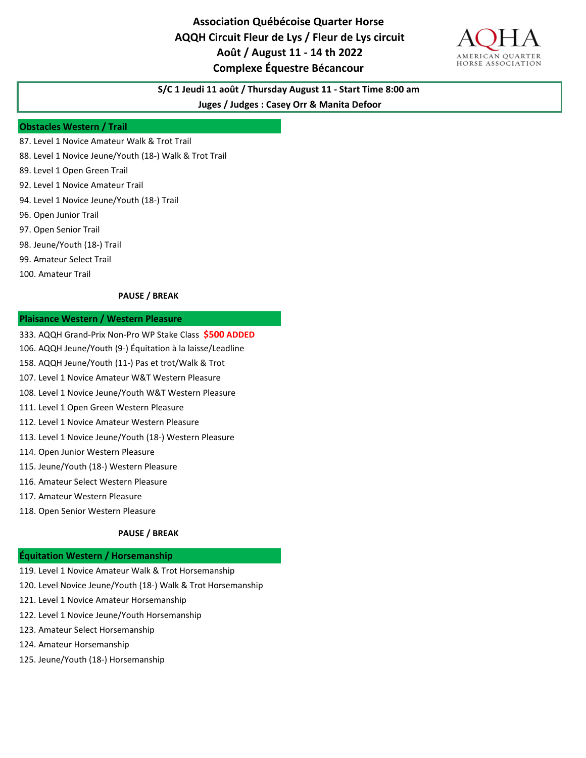**Association Québécoise Quarter Horse AQQH Circuit Fleur de Lys / Fleur de Lys circuit Août / August 11 - 14 th 2022 Complexe Équestre Bécancour** 



# **S/C 1 Jeudi 11 août / Thursday August 11 - Start Time 8:00 am**

**Juges / Judges : Casey Orr & Manita Defoor**

### **Obstacles Western / Trail**

- 87. Level 1 Novice Amateur Walk & Trot Trail
- 88. Level 1 Novice Jeune/Youth (18-) Walk & Trot Trail
- 89. Level 1 Open Green Trail
- 92. Level 1 Novice Amateur Trail
- 94. Level 1 Novice Jeune/Youth (18-) Trail
- 96. Open Junior Trail
- 97. Open Senior Trail
- 98. Jeune/Youth (18-) Trail
- 99. Amateur Select Trail
- 100. Amateur Trail

### **PAUSE / BREAK**

### **Plaisance Western / Western Pleasure**

- 333. AQQH Grand-Prix Non-Pro WP Stake Class **\$500 ADDED**
- 106. AQQH Jeune/Youth (9-) Équitation à la laisse/Leadline
- 158. AQQH Jeune/Youth (11-) Pas et trot/Walk & Trot
- 107. Level 1 Novice Amateur W&T Western Pleasure
- 108. Level 1 Novice Jeune/Youth W&T Western Pleasure
- 111. Level 1 Open Green Western Pleasure
- 112. Level 1 Novice Amateur Western Pleasure
- 113. Level 1 Novice Jeune/Youth (18-) Western Pleasure
- 114. Open Junior Western Pleasure
- 115. Jeune/Youth (18-) Western Pleasure
- 116. Amateur Select Western Pleasure
- 117. Amateur Western Pleasure
- 118. Open Senior Western Pleasure

### **PAUSE / BREAK**

### **Équitation Western / Horsemanship**

- 119. Level 1 Novice Amateur Walk & Trot Horsemanship
- 120. Level Novice Jeune/Youth (18-) Walk & Trot Horsemanship
- 121. Level 1 Novice Amateur Horsemanship
- 122. Level 1 Novice Jeune/Youth Horsemanship
- 123. Amateur Select Horsemanship
- 124. Amateur Horsemanship
- 125. Jeune/Youth (18-) Horsemanship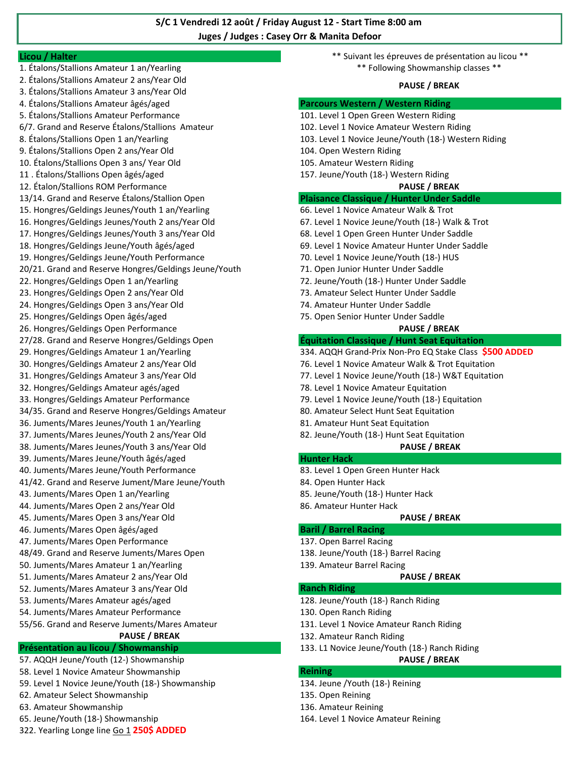# **S/C 1 Vendredi 12 août / Friday August 12 - Start Time 8:00 am Juges / Judges : Casey Orr & Manita Defoor**

- 2. Étalons/Stallions Amateur 2 ans/Year Old
- 3. Étalons/Stallions Amateur 3 ans/Year Old
- 
- 
- 
- 
- 
- 
- 12. Étalon/Stallions ROM Performance **PAUSE / BREAK**
- 
- 15. Hongres/Geldings Jeunes/Youth 1 an/Yearling 66. Level 1 Novice Amateur Walk & Trot
- 16. Hongres/Geldings Jeunes/Youth 2 ans/Year Old 67. Level 1 Novice Jeune/Youth (18-) Walk & Trot
- 17. Hongres/Geldings Jeunes/Youth 3 ans/Year Old 68. Level 1 Open Green Hunter Under Saddle
- 
- 19. Hongres/Geldings Jeune/Youth Performance 70. Level 1 Novice Jeune/Youth (18-) HUS
- 20/21. Grand and Reserve Hongres/Geldings Jeune/Youth 71. Open Junior Hunter Under Saddle
- 
- 
- 
- 
- 26. Hongres/Geldings Open Performance **PAUSE / BREAK**
- 
- 
- 
- 
- 
- 
- 
- 
- 38. Juments/Mares Jeunes/Youth 3 ans/Year Old **PAUSE / BREAK**
- 39. Juments/Mares Jeune/Youth âgés/aged **Hunter Hack Hunter Hack**
- 40. Juments/Mares Jeune/Youth Performance 83. Level 1 Open Green Hunter Hack
- 41/42. Grand and Reserve Jument/Mare Jeune/Youth 84. Open Hunter Hack
- 43. Juments/Mares Open 1 an/Yearling and the state of the state and the SS. Jeune/Youth (18-) Hunter Hack
- 44. Juments/Mares Open 2 ans/Year Old 86. Amateur Hunter Hack
- 45. Juments/Mares Open 3 ans/Year Old **PAUSE / BREAK**
- 46. Juments/Mares Open âgés/aged **Baril / Barrel Racing**
- 47. Juments/Mares Open Performance 137. Open Barrel Racing
- 48/49. Grand and Reserve Juments/Mares Open 138. Jeune/Youth (18-) Barrel Racing
- 50. Juments/Mares Amateur 1 an/Yearling 139. Amateur Barrel Racing 139. Amateur Barrel Racing
- 51. Juments/Mares Amateur 2 ans/Year Old **PAUSE / BREAK**
- 52. Juments/Mares Amateur 3 ans/Year Old **Ranch Riding**
- 
- 54. Juments/Mares Amateur Performance 130. Open Ranch Riding
- 55/56. Grand and Reserve Juments/Mares Amateur 131. Level 1 Novice Amateur Ranch Riding PAUSE / BREAK 132. Amateur Ranch Riding

# **Présentation au licou / Showmanship** 133. L1 Novice Jeune/Youth (18-) Ranch Riding

- 57. AQQH Jeune/Youth (12-) Showmanship **PAUSE / BREAK**
- 58. Level 1 Novice Amateur Showmanship **Reining**
- 59. Level 1 Novice Jeune/Youth (18-) Showmanship 134. Jeune /Youth (18-) Reining
- 62. Amateur Select Showmanship 135. Open Reining
- 63. Amateur Showmanship 136. Amateur Reining
- 65. Jeune/Youth (18-) Showmanship 164. Level 1 Novice Amateur Reining
- 322. Yearling Longe line Go 1 **250\$ ADDED**

**Licou / Halter** \*\* Suivant les épreuves de présentation au licou \*\* 1. Étalons/Stallions Amateur 1 an/Yearling \*\* Following Showmanship classes \*\*

### **PAUSE / BREAK**

### 4. Étalons/Stallions Amateur âgés/aged **Parcours Western / Western Riding**

- 5. Étalons/Stallions Amateur Performance 101. Level 1 Open Green Western Riding
- 6/7. Grand and Reserve Étalons/Stallions Amateur 102. Level 1 Novice Amateur Western Riding
- 8. Étalons/Stallions Open 1 an/Yearling 103. Level 1 Novice Jeune/Youth (18-) Western Riding
- 9. Étalons/Stallions Open 2 ans/Year Old 104. Open Western Riding
- 10. Étalons/Stallions Open 3 ans/ Year Old 105. Amateur Western Riding
- 11 . Étalons/Stallions Open âgés/aged 157. Jeune/Youth (18-) Western Riding

## 13/14. Grand and Reserve Étalons/Stallion Open **Plaisance Classique / Hunter Under Saddle**

- 
- 
- 
- 18. Hongres/Geldings Jeune/Youth âgés/aged 69. Level 1 Novice Amateur Hunter Under Saddle
	-
	-
- 22. Hongres/Geldings Open 1 an/Yearling 72. Jeune/Youth (18-) Hunter Under Saddle
- 23. Hongres/Geldings Open 2 ans/Year Old 73. Amateur Select Hunter Under Saddle
- 24. Hongres/Geldings Open 3 ans/Year Old 74. Amateur Hunter Under Saddle
- 25. Hongres/Geldings Open âgés/aged 75. Open Senior Hunter Under Saddle

## 27/28. Grand and Reserve Hongres/Geldings Open **Équitation Classique / Hunt Seat Equitation**

- 29. Hongres/Geldings Amateur 1 an/Yearling 334. AQQH Grand-Prix Non-Pro EQ Stake Class **\$500 ADDED**
- 30. Hongres/Geldings Amateur 2 ans/Year Old 76. Level 1 Novice Amateur Walk & Trot Equitation
- 31. Hongres/Geldings Amateur 3 ans/Year Old 77. Level 1 Novice Jeune/Youth (18-) W&T Equitation
- 32. Hongres/Geldings Amateur agés/aged 78. Level 1 Novice Amateur Equitation
- 33. Hongres/Geldings Amateur Performance 79. Level 1 Novice Jeune/Youth (18-) Equitation
- 34/35. Grand and Reserve Hongres/Geldings Amateur 80. Amateur Select Hunt Seat Equitation
- 36. Juments/Mares Jeunes/Youth 1 an/Yearling 81. Amateur Hunt Seat Equitation
- 37. Juments/Mares Jeunes/Youth 2 ans/Year Old 82. Jeune/Youth (18-) Hunt Seat Equitation

- 
- 
- 
- 

- 
- 
- 

53. Juments/Mares Amateur agés/aged 128. Jeune/Youth (18-) Ranch Riding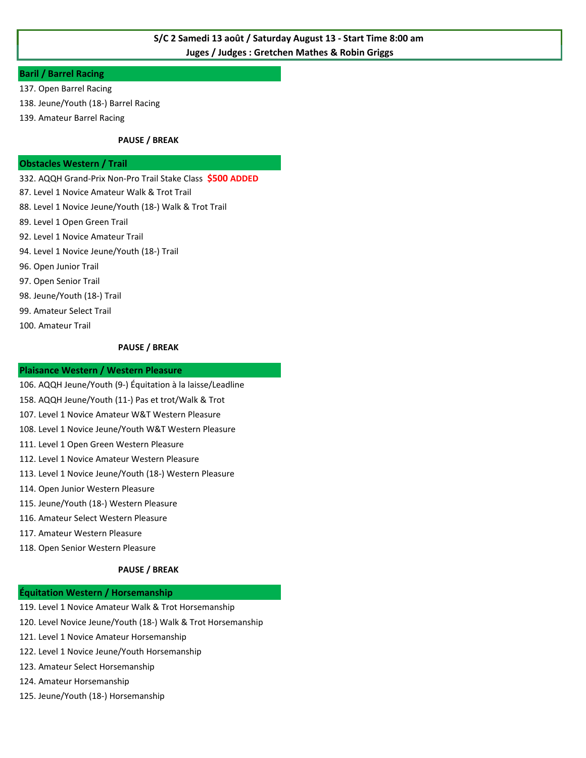# **S/C 2 Samedi 13 août / Saturday August 13 - Start Time 8:00 am Juges / Judges : Gretchen Mathes & Robin Griggs**

## **Baril / Barrel Racing**

- 137. Open Barrel Racing
- 138. Jeune/Youth (18-) Barrel Racing
- 139. Amateur Barrel Racing

### **PAUSE / BREAK**

### **Obstacles Western / Trail**

332. AQQH Grand-Prix Non-Pro Trail Stake Class **\$500 ADDED**

- 87. Level 1 Novice Amateur Walk & Trot Trail
- 88. Level 1 Novice Jeune/Youth (18-) Walk & Trot Trail
- 89. Level 1 Open Green Trail
- 92. Level 1 Novice Amateur Trail
- 94. Level 1 Novice Jeune/Youth (18-) Trail
- 96. Open Junior Trail
- 97. Open Senior Trail
- 98. Jeune/Youth (18-) Trail
- 99. Amateur Select Trail
- 100. Amateur Trail

### **PAUSE / BREAK**

# **Plaisance Western / Western Pleasure**

- 106. AQQH Jeune/Youth (9-) Équitation à la laisse/Leadline
- 158. AQQH Jeune/Youth (11-) Pas et trot/Walk & Trot
- 107. Level 1 Novice Amateur W&T Western Pleasure
- 108. Level 1 Novice Jeune/Youth W&T Western Pleasure
- 111. Level 1 Open Green Western Pleasure
- 112. Level 1 Novice Amateur Western Pleasure
- 113. Level 1 Novice Jeune/Youth (18-) Western Pleasure
- 114. Open Junior Western Pleasure
- 115. Jeune/Youth (18-) Western Pleasure
- 116. Amateur Select Western Pleasure
- 117. Amateur Western Pleasure
- 118. Open Senior Western Pleasure

### **PAUSE / BREAK**

### **Équitation Western / Horsemanship**

- 119. Level 1 Novice Amateur Walk & Trot Horsemanship
- 120. Level Novice Jeune/Youth (18-) Walk & Trot Horsemanship
- 121. Level 1 Novice Amateur Horsemanship
- 122. Level 1 Novice Jeune/Youth Horsemanship
- 123. Amateur Select Horsemanship
- 124. Amateur Horsemanship
- 125. Jeune/Youth (18-) Horsemanship